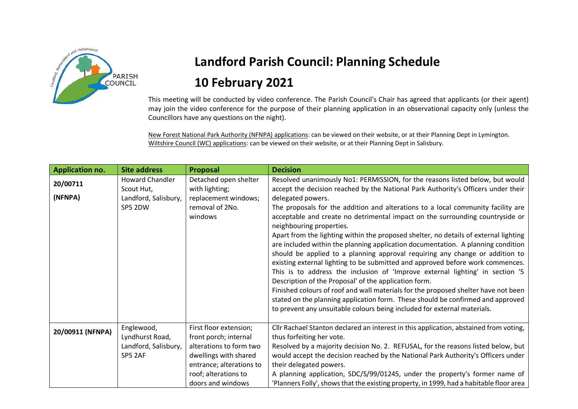

## **Landford Parish Council: Planning Schedule 10 February 2021**

This meeting will be conducted by video conference. The Parish Council's Chair has agreed that applicants (or their agent) may join the video conference for the purpose of their planning application in an observational capacity only (unless the Councillors have any questions on the night).

New Forest National Park Authority (NFNPA) applications: can be viewed on their website, or at their Planning Dept in Lymington. Wiltshire Council (WC) applications: can be viewed on their website, or at their Planning Dept in Salisbury.

| <b>Application no.</b> | <b>Site address</b>                                                     | Proposal                                                                                                                                                                     | <b>Decision</b>                                                                                                                                                                                                                                                                                                                                                                                                                                                                                                                                                                                                                                                                                                                                                                                                                                                                                                                                                                                                                                                                                                                       |
|------------------------|-------------------------------------------------------------------------|------------------------------------------------------------------------------------------------------------------------------------------------------------------------------|---------------------------------------------------------------------------------------------------------------------------------------------------------------------------------------------------------------------------------------------------------------------------------------------------------------------------------------------------------------------------------------------------------------------------------------------------------------------------------------------------------------------------------------------------------------------------------------------------------------------------------------------------------------------------------------------------------------------------------------------------------------------------------------------------------------------------------------------------------------------------------------------------------------------------------------------------------------------------------------------------------------------------------------------------------------------------------------------------------------------------------------|
| 20/00711<br>(NFNPA)    | <b>Howard Chandler</b><br>Scout Hut,<br>Landford, Salisbury,<br>SP5 2DW | Detached open shelter<br>with lighting;<br>replacement windows;<br>removal of 2No.<br>windows                                                                                | Resolved unanimously No1: PERMISSION, for the reasons listed below, but would<br>accept the decision reached by the National Park Authority's Officers under their<br>delegated powers.<br>The proposals for the addition and alterations to a local community facility are<br>acceptable and create no detrimental impact on the surrounding countryside or<br>neighbouring properties.<br>Apart from the lighting within the proposed shelter, no details of external lighting<br>are included within the planning application documentation. A planning condition<br>should be applied to a planning approval requiring any change or addition to<br>existing external lighting to be submitted and approved before work commences.<br>This is to address the inclusion of 'Improve external lighting' in section '5<br>Description of the Proposal' of the application form.<br>Finished colours of roof and wall materials for the proposed shelter have not been<br>stated on the planning application form. These should be confirmed and approved<br>to prevent any unsuitable colours being included for external materials. |
| 20/00911 (NFNPA)       | Englewood,<br>Lyndhurst Road,<br>Landford, Salisbury,<br>SP5 2AF        | First floor extension;<br>front porch; internal<br>alterations to form two<br>dwellings with shared<br>entrance; alterations to<br>roof; alterations to<br>doors and windows | Cllr Rachael Stanton declared an interest in this application, abstained from voting,<br>thus forfeiting her vote.<br>Resolved by a majority decision No. 2. REFUSAL, for the reasons listed below, but<br>would accept the decision reached by the National Park Authority's Officers under<br>their delegated powers.<br>A planning application, SDC/S/99/01245, under the property's former name of<br>'Planners Folly', shows that the existing property, in 1999, had a habitable floor area                                                                                                                                                                                                                                                                                                                                                                                                                                                                                                                                                                                                                                     |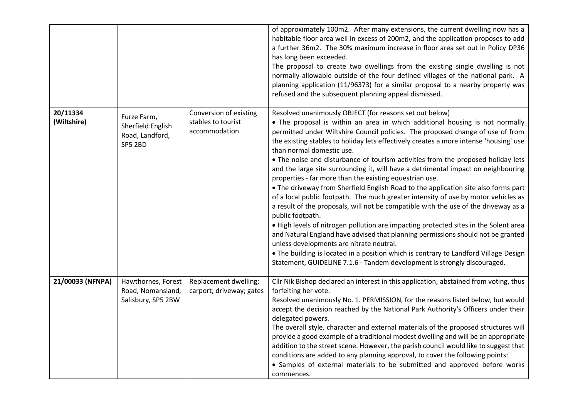|                         |                                                                       |                                                               | of approximately 100m2. After many extensions, the current dwelling now has a<br>habitable floor area well in excess of 200m2, and the application proposes to add<br>a further 36m2. The 30% maximum increase in floor area set out in Policy DP36<br>has long been exceeded.<br>The proposal to create two dwellings from the existing single dwelling is not<br>normally allowable outside of the four defined villages of the national park. A<br>planning application (11/96373) for a similar proposal to a nearby property was<br>refused and the subsequent planning appeal dismissed.                                                                                                                                                                                                                                                                                                                                                                                                                                                                                                                                                                                                                                                                         |
|-------------------------|-----------------------------------------------------------------------|---------------------------------------------------------------|------------------------------------------------------------------------------------------------------------------------------------------------------------------------------------------------------------------------------------------------------------------------------------------------------------------------------------------------------------------------------------------------------------------------------------------------------------------------------------------------------------------------------------------------------------------------------------------------------------------------------------------------------------------------------------------------------------------------------------------------------------------------------------------------------------------------------------------------------------------------------------------------------------------------------------------------------------------------------------------------------------------------------------------------------------------------------------------------------------------------------------------------------------------------------------------------------------------------------------------------------------------------|
| 20/11334<br>(Wiltshire) | Furze Farm,<br>Sherfield English<br>Road, Landford,<br><b>SP5 2BD</b> | Conversion of existing<br>stables to tourist<br>accommodation | Resolved unanimously OBJECT (for reasons set out below)<br>• The proposal is within an area in which additional housing is not normally<br>permitted under Wiltshire Council policies. The proposed change of use of from<br>the existing stables to holiday lets effectively creates a more intense 'housing' use<br>than normal domestic use.<br>. The noise and disturbance of tourism activities from the proposed holiday lets<br>and the large site surrounding it, will have a detrimental impact on neighbouring<br>properties - far more than the existing equestrian use.<br>• The driveway from Sherfield English Road to the application site also forms part<br>of a local public footpath. The much greater intensity of use by motor vehicles as<br>a result of the proposals, will not be compatible with the use of the driveway as a<br>public footpath.<br>. High levels of nitrogen pollution are impacting protected sites in the Solent area<br>and Natural England have advised that planning permissions should not be granted<br>unless developments are nitrate neutral.<br>. The building is located in a position which is contrary to Landford Village Design<br>Statement, GUIDELINE 7.1.6 - Tandem development is strongly discouraged. |
| 21/00033 (NFNPA)        | Hawthornes, Forest<br>Road, Nomansland,<br>Salisbury, SP5 2BW         | Replacement dwelling;<br>carport; driveway; gates             | Cllr Nik Bishop declared an interest in this application, abstained from voting, thus<br>forfeiting her vote.<br>Resolved unanimously No. 1. PERMISSION, for the reasons listed below, but would<br>accept the decision reached by the National Park Authority's Officers under their<br>delegated powers.<br>The overall style, character and external materials of the proposed structures will<br>provide a good example of a traditional modest dwelling and will be an appropriate<br>addition to the street scene. However, the parish council would like to suggest that<br>conditions are added to any planning approval, to cover the following points:<br>• Samples of external materials to be submitted and approved before works<br>commences.                                                                                                                                                                                                                                                                                                                                                                                                                                                                                                            |